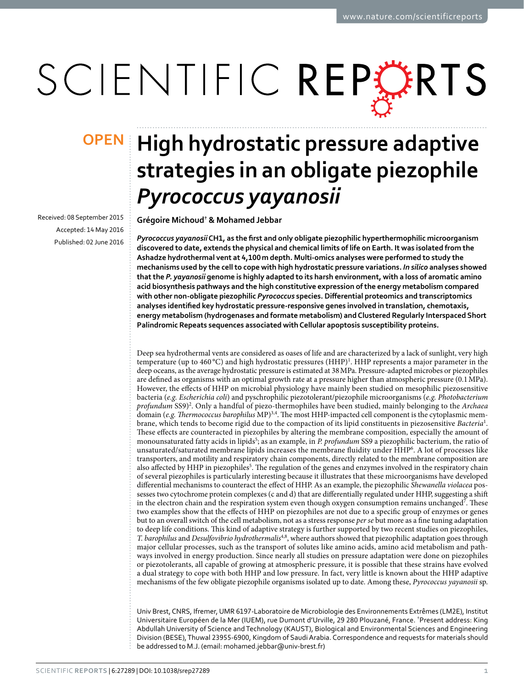# SCIENTIFIC REPERTS

Received: 08 September 2015 accepted: 14 May 2016 Published: 02 June 2016

## **OPEN** High hydrostatic pressure adaptive **strategies in an obligate piezophile**  *Pyrococcus yayanosii*

**Grégoire Michoud† & Mohamed Jebbar**

*Pyrococcus yayanosii* **CH1, as the first and only obligate piezophilic hyperthermophilic microorganism discovered to date, extends the physical and chemical limits of life on Earth. It was isolated from the Ashadze hydrothermal vent at 4,100m depth. Multi-omics analyses were performed to study the mechanisms used by the cell to cope with high hydrostatic pressure variations.** *In silico* **analyses showed that the** *P. yayanosii* **genome is highly adapted to its harsh environment, with a loss of aromatic amino acid biosynthesis pathways and the high constitutive expression of the energy metabolism compared with other non-obligate piezophilic** *Pyrococcus* **species. Differential proteomics and transcriptomics analyses identified key hydrostatic pressure-responsive genes involved in translation, chemotaxis, energy metabolism (hydrogenases and formate metabolism) and Clustered Regularly Interspaced Short Palindromic Repeats sequences associated with Cellular apoptosis susceptibility proteins.**

Deep sea hydrothermal vents are considered as oases of life and are characterized by a lack of sunlight, very high temperature (up to 460 °C) and high hydrostatic pressures  $(HHP)^{1}$  $(HHP)^{1}$  $(HHP)^{1}$ . HHP represents a major parameter in the deep oceans, as the average hydrostatic pressure is estimated at 38MPa. Pressure-adapted microbes or piezophiles are defined as organisms with an optimal growth rate at a pressure higher than atmospheric pressure (0.1MPa). However, the effects of HHP on microbial physiology have mainly been studied on mesophilic piezosensitive bacteria (*e.g. Escherichia coli*) and pyschrophilic piezotolerant/piezophile microorganisms (*e.g. Photobacterium profundum* SS9)[2](#page-7-1) . Only a handful of piezo-thermophiles have been studied, mainly belonging to the *Archaea* domain (*e.g. Thermococcus barophilus* MP)<sup>3[,4](#page-7-3)</sup>. The most HHP-impacted cell component is the cytoplasmic membrane, which tends to become rigid due to the compaction of its lipid constituents in piezosensitive *Bacteria*[1](#page-7-0) . These effects are counteracted in piezophiles by altering the membrane composition, especially the amount of monounsaturated fatty acids in lipids[5](#page-7-4) ; as an example, in *P. profundum* SS9 a piezophilic bacterium, the ratio of unsaturated/saturated membrane lipids increases the membrane fluidity under HHP<sup>[6](#page-7-5)</sup>. A lot of processes like transporters, and motility and respiratory chain components, directly related to the membrane composition are also affected by HHP in piezophiles<sup>5</sup>. The regulation of the genes and enzymes involved in the respiratory chain of several piezophiles is particularly interesting because it illustrates that these microorganisms have developed differential mechanisms to counteract the effect of HHP. As an example, the piezophilic *Shewanella violacea* possesses two cytochrome protein complexes (c and d) that are differentially regulated under HHP, suggesting a shift in the electron chain and the respiration system even though oxygen consumption remains unchanged<sup>[7](#page-7-6)</sup>. These two examples show that the effects of HHP on piezophiles are not due to a specific group of enzymes or genes but to an overall switch of the cell metabolism, not as a stress response *per se* but more as a fine tuning adaptation to deep life conditions. This kind of adaptive strategy is further supported by two recent studies on piezophiles, *T. barophilus* and *Desulfovibrio hydrothermalis*[4](#page-7-3),[8](#page-7-7), where authors showed that piezophilic adaptation goes through major cellular processes, such as the transport of solutes like amino acids, amino acid metabolism and pathways involved in energy production. Since nearly all studies on pressure adaptation were done on piezophiles or piezotolerants, all capable of growing at atmospheric pressure, it is possible that these strains have evolved a dual strategy to cope with both HHP and low pressure. In fact, very little is known about the HHP adaptive mechanisms of the few obligate piezophile organisms isolated up to date. Among these, *Pyrococcus yayanosii* sp.

Univ Brest, CNRS, Ifremer, UMR 6197-Laboratoire de Microbiologie des Environnements Extrêmes (LM2E), Institut Universitaire Européen de la Mer (IUEM), rue Dumont d'Urville, 29 280 Plouzané, France. † Present address: King Abdullah University of Science and Technology (KAUST), Biological and Environmental Sciences and Engineering Division (BESE), Thuwal 23955-6900, Kingdom of Saudi Arabia. Correspondence and requests for materials should be addressed to M.J. (email: [mohamed.jebbar@univ-brest.fr\)](mailto:mohamed.jebbar@univ-brest.fr)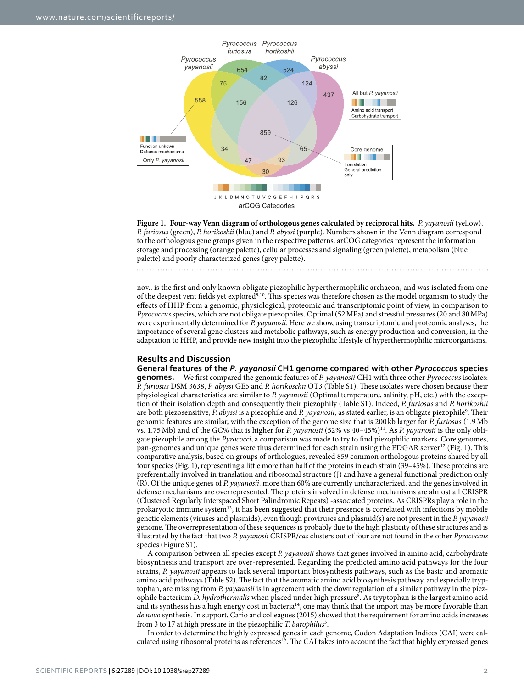

<span id="page-1-0"></span>**Figure 1. Four-way Venn diagram of orthologous genes calculated by reciprocal hits.** *P. yayanosii* (yellow), *P. furiosus* (green), *P. horikoshii* (blue) and *P. abyssi* (purple). Numbers shown in the Venn diagram correspond to the orthologous gene groups given in the respective patterns. arCOG categories represent the information storage and processing (orange palette), cellular processes and signaling (green palette), metabolism (blue palette) and poorly characterized genes (grey palette).

nov., is the first and only known obligate piezophilic hyperthermophilic archaeon, and was isolated from one of the deepest vent fields yet explored<sup>[9,](#page-7-8)10</sup>. This species was therefore chosen as the model organism to study the effects of HHP from a genomic, physiological, proteomic and transcriptomic point of view, in comparison to *Pyrococcus* species, which are not obligate piezophiles. Optimal (52MPa) and stressful pressures (20 and 80MPa) were experimentally determined for *P. yayanosii*. Here we show, using transcriptomic and proteomic analyses, the importance of several gene clusters and metabolic pathways, such as energy production and conversion, in the adaptation to HHP, and provide new insight into the piezophilic lifestyle of hyperthermophilic microorganisms.

### **Results and Discussion**

**General features of the** *P. yayanosii* **CH1 genome compared with other** *Pyrococcus* **species genomes.** We first compared the genomic features of *P. yayanosii* CH1 with three other *Pyrococcus* isolates: *P. furiosus* DSM 3638, *P. abyssi* GE5 and *P. horikoschii* OT3 (Table S1). These isolates were chosen because their physiological characteristics are similar to *P. yayanosii* (Optimal temperature, salinity, pH, etc.) with the exception of their isolation depth and consequently their piezophily (Table S1). Indeed, *P. furiosus* and *P. horikoshii* are both piezosensitive, P. abyssi is a piezophile and P. yayanosii, as stated earlier, is an obligate piezophile<sup>[9](#page-7-8)</sup>. Their genomic features are similar, with the exception of the genome size that is 200 kb larger for *P. furiosus* (1.9Mb vs. 1.75Mb) and of the GC% that is higher for *P. yayanosii* (52% vs 40–45%[\)11.](#page-7-10) As *P. yayanosii* is the only obligate piezophile among the *Pyrococci*, a comparison was made to try to find piezophilic markers. Core genomes, pan-genomes and unique genes were thus determined for each strain using the EDGAR server<sup>12</sup> [\(Fig. 1\)](#page-1-0). This comparative analysis, based on groups of orthologues, revealed 859 common orthologous proteins shared by all four species [\(Fig. 1](#page-1-0)), representing a little more than half of the proteins in each strain (39–45%). These proteins are preferentially involved in translation and ribosomal structure (J) and have a general functional prediction only (R). Of the unique genes of *P. yayanosii,* more than 60% are currently uncharacterized, and the genes involved in defense mechanisms are overrepresented. The proteins involved in defense mechanisms are almost all CRISPR (Clustered Regularly Interspaced Short Palindromic Repeats) -associated proteins. As CRISPRs play a role in the prokaryotic immune system<sup>13</sup>, it has been suggested that their presence is correlated with infections by mobile genetic elements (viruses and plasmids), even though proviruses and plasmid(s) are not present in the *P. yayanosii* genome. The overrepresentation of these sequences is probably due to the high plasticity of these structures and is illustrated by the fact that two *P. yayanosii* CRISPR/*cas* clusters out of four are not found in the other *Pyrococcus* species (Figure S1).

A comparison between all species except *P. yayanosii* shows that genes involved in amino acid, carbohydrate biosynthesis and transport are over-represented. Regarding the predicted amino acid pathways for the four strains, *P. yayanosii* appears to lack several important biosynthesis pathways, such as the basic and aromatic amino acid pathways (Table S2). The fact that the aromatic amino acid biosynthesis pathway, and especially tryptophan, are missing from *P. yayanosii* is in agreement with the downregulation of a similar pathway in the piezophile bacterium *D. hydrothermalis* when placed under high pressure[8](#page-7-7) . As tryptophan is the largest amino acid and its synthesis has a high energy cost in bacteria<sup>14</sup>, one may think that the import may be more favorable than *de novo* synthesis. In support, Cario and colleagues (2015) showed that the requirement for amino acids increases from 3 to 17 at high pressure in the piezophilic *T. barophilus*[3](#page-7-2) .

In order to determine the highly expressed genes in each genome, Codon Adaptation Indices (CAI) were calculated using ribosomal proteins as references<sup>15</sup>. The CAI takes into account the fact that highly expressed genes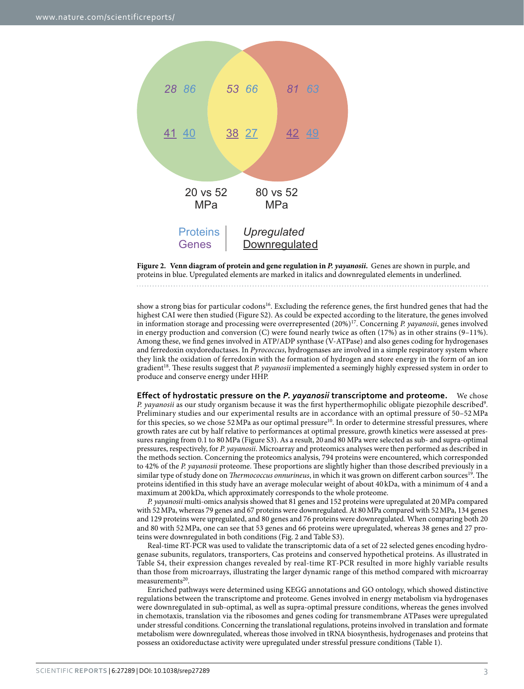

<span id="page-2-0"></span>**Figure 2. Venn diagram of protein and gene regulation in** *P. yayanosii***.** Genes are shown in purple, and proteins in blue. Upregulated elements are marked in italics and downregulated elements in underlined.

show a strong bias for particular codons<sup>16</sup>. Excluding the reference genes, the first hundred genes that had the highest CAI were then studied (Figure S2). As could be expected according to the literature, the genes involved in information storage and processing were overrepresented (20%[\)17.](#page-8-5) Concerning *P. yayanosii*, genes involved in energy production and conversion (C) were found nearly twice as often (17%) as in other strains (9–11%). Among these, we find genes involved in ATP/ADP synthase (V-ATPase) and also genes coding for hydrogenases and ferredoxin oxydoreductases. In *Pyrococcus*, hydrogenases are involved in a simple respiratory system where they link the oxidation of ferredoxin with the formation of hydrogen and store energy in the form of an ion gradient[18.](#page-8-6) These results suggest that *P. yayanosii* implemented a seemingly highly expressed system in order to produce and conserve energy under HHP.

**Effect of hydrostatic pressure on the** *P. yayanosii* **transcriptome and proteome.** We chose P. yayanosii as our study organism because it was the first hyperthermophilic obligate piezophile described<sup>[9](#page-7-8)</sup>. Preliminary studies and our experimental results are in accordance with an optimal pressure of 50–52 MPa for this species, so we chose 52 MPa as our optimal pressure<sup>10</sup>. In order to determine stressful pressures, where growth rates are cut by half relative to performances at optimal pressure, growth kinetics were assessed at pressures ranging from 0.1 to 80MPa (Figure S3). As a result, 20 and 80 MPa were selected as sub- and supra-optimal pressures, respectively, for *P. yayanosii*. Microarray and proteomics analyses were then performed as described in the methods section. Concerning the proteomics analysis, 794 proteins were encountered, which corresponded to 42% of the *P. yayanosii* proteome. These proportions are slightly higher than those described previously in a similar type of study done on *Thermococcus onnurineus*, in which it was grown on different carbon sources<sup>[19](#page-8-7)</sup>. The proteins identified in this study have an average molecular weight of about 40 kDa, with a minimum of 4 and a maximum at 200 kDa, which approximately corresponds to the whole proteome.

*P. yayanosii* multi-omics analysis showed that 81 genes and 152 proteins were upregulated at 20MPa compared with 52MPa, whereas 79 genes and 67 proteins were downregulated. At 80MPa compared with 52MPa, 134 genes and 129 proteins were upregulated, and 80 genes and 76 proteins were downregulated. When comparing both 20 and 80 with 52MPa, one can see that 53 genes and 66 proteins were upregulated, whereas 38 genes and 27 proteins were downregulated in both conditions ([Fig. 2](#page-2-0) and Table S3).

Real-time RT-PCR was used to validate the transcriptomic data of a set of 22 selected genes encoding hydrogenase subunits, regulators, transporters, Cas proteins and conserved hypothetical proteins. As illustrated in Table S4, their expression changes revealed by real-time RT-PCR resulted in more highly variable results than those from microarrays, illustrating the larger dynamic range of this method compared with microarray measurements<sup>[20](#page-8-8)</sup>.

Enriched pathways were determined using KEGG annotations and GO ontology, which showed distinctive regulations between the transcriptome and proteome. Genes involved in energy metabolism via hydrogenases were downregulated in sub-optimal, as well as supra-optimal pressure conditions, whereas the genes involved in chemotaxis, translation via the ribosomes and genes coding for transmembrane ATPases were upregulated under stressful conditions. Concerning the translational regulations, proteins involved in translation and formate metabolism were downregulated, whereas those involved in tRNA biosynthesis, hydrogenases and proteins that possess an oxidoreductase activity were upregulated under stressful pressure conditions [\(Table 1\)](#page-3-0).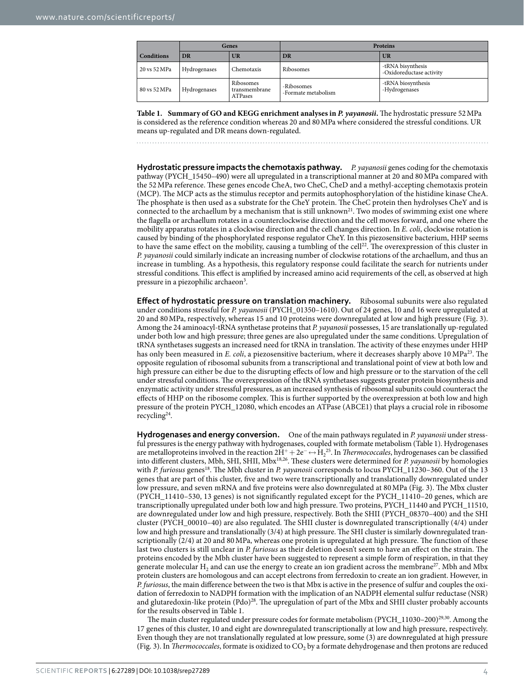<span id="page-3-0"></span>

|                   | Genes        |                                              | Proteins                          |                                               |
|-------------------|--------------|----------------------------------------------|-----------------------------------|-----------------------------------------------|
| <b>Conditions</b> | <b>DR</b>    | UR                                           | DR                                | <b>UR</b>                                     |
| 20 vs 52 MPa      | Hydrogenases | Chemotaxis                                   | Ribosomes                         | -tRNA bisynthesis<br>-Oxidoreductase activity |
| 80 vs 52 MPa      | Hydrogenases | Ribosomes<br>transmembrane<br><b>ATPases</b> | -Ribosomes<br>-Formate metabolism | -tRNA biosynthesis<br>-Hydrogenases           |

**Table 1. Summary of GO and KEGG enrichment analyses in** *P. yayanosii***.** The hydrostatic pressure 52MPa is considered as the reference condition whereas 20 and 80MPa where considered the stressful conditions. UR means up-regulated and DR means down-regulated.

**Hydrostatic pressure impacts the chemotaxis pathway.** *P. yayanosii* genes coding for the chemotaxis pathway (PYCH\_15450–490) were all upregulated in a transcriptional manner at 20 and 80MPa compared with the 52MPa reference. These genes encode CheA, two CheC, CheD and a methyl-accepting chemotaxis protein (MCP). The MCP acts as the stimulus receptor and permits autophosphorylation of the histidine kinase CheA. The phosphate is then used as a substrate for the CheY protein. The CheC protein then hydrolyses CheY and is connected to the archaellum by a mechanism that is still unknown<sup>21</sup>. Two modes of swimming exist one where the flagella or archaellum rotates in a counterclockwise direction and the cell moves forward, and one where the mobility apparatus rotates in a clockwise direction and the cell changes direction. In *E. coli*, clockwise rotation is caused by binding of the phosphorylated response regulator CheY. In this piezosensitive bacterium, HHP seems to have the same effect on the mobility, causing a tumbling of the cell<sup>22</sup>. The overexpression of this cluster in *P. yayanosii* could similarly indicate an increasing number of clockwise rotations of the archaellum, and thus an increase in tumbling. As a hypothesis, this regulatory response could facilitate the search for nutrients under stressful conditions. This effect is amplified by increased amino acid requirements of the cell, as observed at high pressure in a piezophilic archaeon<sup>[3](#page-7-2)</sup>.

**Effect of hydrostatic pressure on translation machinery.** Ribosomal subunits were also regulated under conditions stressful for *P. yayanosii* (PYCH\_01350–1610). Out of 24 genes, 10 and 16 were upregulated at 20 and 80MPa, respectively, whereas 15 and 10 proteins were downregulated at low and high pressure [\(Fig. 3](#page-4-0)). Among the 24 aminoacyl-tRNA synthetase proteins that *P. yayanosii* possesses, 15 are translationally up-regulated under both low and high pressure; three genes are also upregulated under the same conditions. Upregulation of tRNA synthetases suggests an increased need for tRNA in translation. The activity of these enzymes under HHP has only been measured in *E. coli*, a piezosensitive bacterium, where it decreases sharply above 10 MPa<sup>23</sup>. The opposite regulation of ribosomal subunits from a transcriptional and translational point of view at both low and high pressure can either be due to the disrupting effects of low and high pressure or to the starvation of the cell under stressful conditions. The overexpression of the tRNA synthetases suggests greater protein biosynthesis and enzymatic activity under stressful pressures, as an increased synthesis of ribosomal subunits could counteract the effects of HHP on the ribosome complex. This is further supported by the overexpression at both low and high pressure of the protein PYCH\_12080, which encodes an ATPase (ABCE1) that plays a crucial role in ribosome recycling<sup>24</sup>.

**Hydrogenases and energy conversion.** One of the main pathways regulated in *P. yayanosii* under stressful pressures is the energy pathway with hydrogenases, coupled with formate metabolism ([Table 1\)](#page-3-0). Hydrogenases are metalloproteins involved in the reaction 2H<sup>+</sup> +2e−↔H2 [25.](#page-8-13) In *Thermococcales*, hydrogenases can be classified into different clusters, Mbh, SHI, SHII, Mb[x18](#page-8-6)[,26.](#page-8-14) These clusters were determined for *P. yayanosii* by homologies with *P. furiosus* genes<sup>18</sup>. The Mbh cluster in *P. yayanosii* corresponds to locus PYCH\_11230–360. Out of the 13 genes that are part of this cluster, five and two were transcriptionally and translationally downregulated under low pressure, and seven mRNA and five proteins were also downregulated at 80MPa [\(Fig. 3](#page-4-0)). The Mbx cluster (PYCH\_11410–530, 13 genes) is not significantly regulated except for the PYCH\_11410–20 genes, which are transcriptionally upregulated under both low and high pressure. Two proteins, PYCH\_11440 and PYCH\_11510, are downregulated under low and high pressure, respectively. Both the SHII (PYCH\_08370–400) and the SHI cluster (PYCH\_00010–40) are also regulated. The SHII cluster is downregulated transcriptionally (4/4) under low and high pressure and translationally (3/4) at high pressure. The SHI cluster is similarly downregulated transcriptionally (2/4) at 20 and 80MPa, whereas one protein is upregulated at high pressure. The function of these last two clusters is still unclear in *P. furiosus* as their deletion doesn't seem to have an effect on the strain. The proteins encoded by the Mbh cluster have been suggested to represent a simple form of respiration, in that they generate molecular H<sub>2</sub> and can use the energy to create an ion gradient across the membrane<sup>[27](#page-8-15)</sup>. Mbh and Mbx protein clusters are homologous and can accept electrons from ferredoxin to create an ion gradient. However, in *P. furiosus*, the main difference between the two is that Mbx is active in the presence of sulfur and couples the oxidation of ferredoxin to NADPH formation with the implication of an NADPH elemental sulfur reductase (NSR) and glutaredoxin-like protein (Pdo)<sup>28</sup>. The upregulation of part of the Mbx and SHII cluster probably accounts for the results observed in [Table 1](#page-3-0).

The main cluster regulated under pressure codes for formate metabolism (PYCH\_11030–200)<sup>29,30</sup>. Among the 17 genes of this cluster, 10 and eight are downregulated transcriptionally at low and high pressure, respectively. Even though they are not translationally regulated at low pressure, some (3) are downregulated at high pressure ([Fig. 3](#page-4-0)). In *Thermococcales*, formate is oxidized to  $CO<sub>2</sub>$  by a formate dehydrogenase and then protons are reduced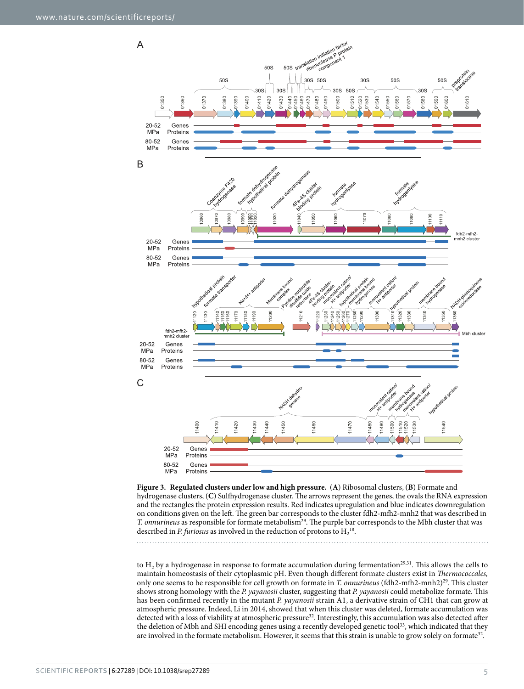

<span id="page-4-0"></span>**Figure 3. Regulated clusters under low and high pressure.** (**A**) Ribosomal clusters, (**B**) Formate and hydrogenase clusters, (**C**) Sulfhydrogenase cluster. The arrows represent the genes, the ovals the RNA expression and the rectangles the protein expression results. Red indicates upregulation and blue indicates downregulation on conditions given on the left. The green bar corresponds to the cluster fdh2-mfh2-mnh2 that was described in *T. onnurineus* as responsible for formate metabolism<sup>29</sup>. The purple bar corresponds to the Mbh cluster that was described in *P. furiosus* as involved in the reduction of protons to  $H_2^{18}$ .

to  $H_2$  by a hydrogenase in response to formate accumulation during fermentation<sup>29,31</sup>. This allows the cells to maintain homeostasis of their cytoplasmic pH. Even though different formate clusters exist in *Thermococcales,* only one seems to be responsible for cell growth on formate in *T. onnurineus* (fdh2-mfh2-mnh2)<sup>29</sup>. This cluster shows strong homology with the *P. yayanosii* cluster, suggesting that *P. yayanosii* could metabolize formate. This has been confirmed recently in the mutant *P. yayanosii* strain A1, a derivative strain of CH1 that can grow at atmospheric pressure. Indeed, Li in 2014, showed that when this cluster was deleted, formate accumulation was detected with a loss of viability at atmospheric pressure<sup>32</sup>. Interestingly, this accumulation was also detected after the deletion of Mbh and SHI encoding genes using a recently developed genetic tool<sup>33</sup>, which indicated that they are involved in the formate metabolism. However, it seems that this strain is unable to grow solely on formate<sup>32</sup>.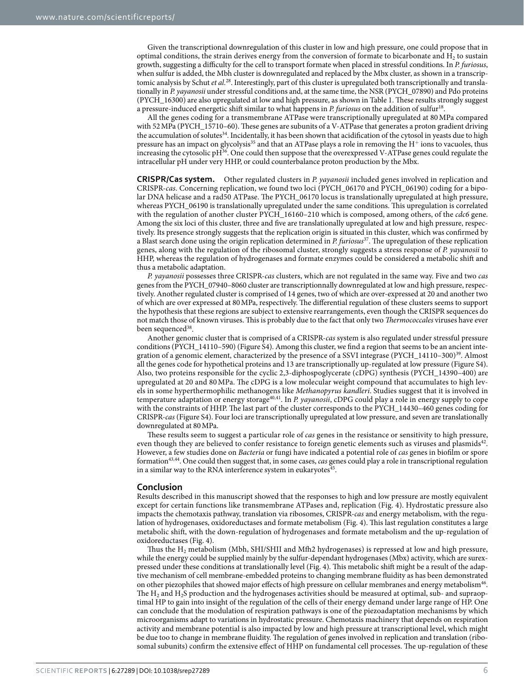Given the transcriptional downregulation of this cluster in low and high pressure, one could propose that in optimal conditions, the strain derives energy from the conversion of formate to bicarbonate and  $H_2$  to sustain growth, suggesting a difficulty for the cell to transport formate when placed in stressful conditions. In *P. furiosus*, when sulfur is added, the Mbh cluster is downregulated and replaced by the Mbx cluster, as shown in a transcriptomic analysis by Schut *et al.*[28](#page-8-16). Interestingly, part of this cluster is upregulated both transcriptionally and translationally in *P. yayanosii* under stressful conditions and, at the same time, the NSR (PYCH\_07890) and Pdo proteins (PYCH\_16300) are also upregulated at low and high pressure, as shown in [Table 1.](#page-3-0) These results strongly suggest a pressure-induced energetic shift similar to what happens in *P. furiosus* on the addition of sulfur[18](#page-8-6).

All the genes coding for a transmembrane ATPase were transcriptionally upregulated at 80MPa compared with 52MPa (PYCH\_15710–60). These genes are subunits of a V-ATPase that generates a proton gradient driving the accumulation of solutes<sup>[34](#page-8-22)</sup>. Incidentally, it has been shown that acidification of the cytosol in yeasts due to high pressure has an impact on glycolysis<sup>[35](#page-8-23)</sup> and that an ATPase plays a role in removing the  $H^+$  ions to vacuoles, thus increasing the cytosolic pH<sup>[36](#page-8-24)</sup>. One could then suppose that the overexpressed V-ATPase genes could regulate the intracellular pH under very HHP, or could counterbalance proton production by the Mbx.

**CRISPR/Cas system.** Other regulated clusters in *P. yayanosii* included genes involved in replication and CRISPR-*cas*. Concerning replication, we found two loci (PYCH\_06170 and PYCH\_06190) coding for a bipolar DNA helicase and a rad50 ATPase. The PYCH\_06170 locus is translationally upregulated at high pressure, whereas PYCH\_06190 is translationally upregulated under the same conditions. This upregulation is correlated with the regulation of another cluster PYCH\_16160–210 which is composed, among others, of the *cdc6* gene. Among the six loci of this cluster, three and five are translationally upregulated at low and high pressure, respectively. Its presence strongly suggests that the replication origin is situated in this cluster, which was confirmed by a Blast search done using the origin replication determined in *P. furiosus*[37](#page-8-25). The upregulation of these replication genes, along with the regulation of the ribosomal cluster, strongly suggests a stress response of *P. yayanosii* to HHP, whereas the regulation of hydrogenases and formate enzymes could be considered a metabolic shift and thus a metabolic adaptation.

*P. yayanosii* possesses three CRISPR-*cas* clusters, which are not regulated in the same way. Five and two *cas* genes from the PYCH\_07940–8060 cluster are transcriptionnally downregulated at low and high pressure, respectively. Another regulated cluster is comprised of 14 genes, two of which are over-expressed at 20 and another two of which are over expressed at 80MPa, respectively. The differential regulation of these clusters seems to support the hypothesis that these regions are subject to extensive rearrangements, even though the CRISPR sequences do not match those of known viruses. This is probably due to the fact that only two *Thermococcales* viruses have ever been sequenced<sup>38</sup>.

Another genomic cluster that is comprised of a CRISPR-*cas* system is also regulated under stressful pressure conditions (PYCH\_14110–590) (Figure S4). Among this cluster, we find a region that seems to be an ancient integration of a genomic element, characterized by the presence of a SSVI integrase (PYCH\_14110–300)<sup>39</sup>. Almost all the genes code for hypothetical proteins and 13 are transcriptionally up-regulated at low pressure (Figure S4). Also, two proteins responsible for the cyclic 2,3-diphospoglycerate (cDPG) synthesis (PYCH\_14390–400) are upregulated at 20 and 80MPa. The cDPG is a low molecular weight compound that accumulates to high levels in some hyperthermophilic methanogens like *Methanopyrus kandleri*. Studies suggest that it is involved in temperature adaptation or energy storag[e40](#page-8-28),[41](#page-8-29). In *P. yayanosii*, cDPG could play a role in energy supply to cope with the constraints of HHP. The last part of the cluster corresponds to the PYCH\_14430–460 genes coding for CRISPR-*cas* (Figure S4). Four loci are transcriptionally upregulated at low pressure, and seven are translationally downregulated at 80MPa.

These results seem to suggest a particular role of *cas* genes in the resistance or sensitivity to high pressure, even though they are believed to confer resistance to foreign genetic elements such as viruses and plasmids<sup>42</sup>. However, a few studies done on *Bacteria* or fungi have indicated a potential role of *cas* genes in biofilm or spore formation[43](#page-8-31)[,44](#page-8-32). One could then suggest that, in some cases, *cas* genes could play a role in transcriptional regulation in a similar way to the RNA interference system in eukaryotes $45$ .

#### **Conclusion**

Results described in this manuscript showed that the responses to high and low pressure are mostly equivalent except for certain functions like transmembrane ATPases and, replication [\(Fig. 4\)](#page-6-0). Hydrostatic pressure also impacts the chemotaxis pathway, translation via ribosomes, CRISPR-*cas* and energy metabolism, with the regulation of hydrogenases, oxidoreductases and formate metabolism [\(Fig. 4](#page-6-0)). This last regulation constitutes a large metabolic shift, with the down-regulation of hydrogenases and formate metabolism and the up-regulation of oxidoreductases ([Fig. 4](#page-6-0)).

Thus the  $H_2$  metabolism (Mbh, SHI/SHII and Mfh2 hydrogenases) is repressed at low and high pressure, while the energy could be supplied mainly by the sulfur-dependant hydrogenases (Mbx) activity, which are surexpressed under these conditions at translationally level [\(Fig. 4](#page-6-0)). This metabolic shift might be a result of the adaptive mechanism of cell membrane-embedded proteins to changing membrane fluidity as has been demonstrated on other piezophiles that showed major effects of high pressure on cellular membranes and energy metabolism<sup>46</sup>. The  $H_2$  and  $H_2$ S production and the hydrogenases activities should be measured at optimal, sub- and supraoptimal HP to gain into insight of the regulation of the cells of their energy demand under large range of HP. One can conclude that the modulation of respiration pathways is one of the piezoadaptation mechanisms by which microorganisms adapt to variations in hydrostatic pressure. Chemotaxis machinery that depends on respiration activity and membrane potential is also impacted by low and high pressure at transcriptional level, which might be due too to change in membrane fluidity. The regulation of genes involved in replication and translation (ribosomal subunits) confirm the extensive effect of HHP on fundamental cell processes. The up-regulation of these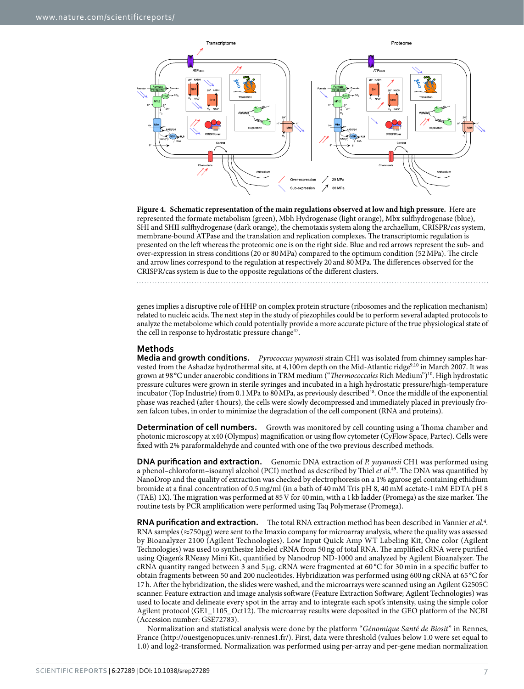

<span id="page-6-0"></span>**Figure 4. Schematic representation of the main regulations observed at low and high pressure.** Here are represented the formate metabolism (green), Mbh Hydrogenase (light orange), Mbx sulfhydrogenase (blue), SHI and SHII sulfhydrogenase (dark orange), the chemotaxis system along the archaellum, CRISPR/*cas* system, membrane-bound ATPase and the translation and replication complexes. The transcriptomic regulation is presented on the left whereas the proteomic one is on the right side. Blue and red arrows represent the sub- and over-expression in stress conditions (20 or 80MPa) compared to the optimum condition (52MPa). The circle and arrow lines correspond to the regulation at respectively 20 and 80MPa. The differences observed for the CRISPR/cas system is due to the opposite regulations of the different clusters.

genes implies a disruptive role of HHP on complex protein structure (ribosomes and the replication mechanism) related to nucleic acids. The next step in the study of piezophiles could be to perform several adapted protocols to analyze the metabolome which could potentially provide a more accurate picture of the true physiological state of the cell in response to hydrostatic pressure change<sup>[47](#page-8-35)</sup>.

### **Methods**

**Media and growth conditions.** *Pyrococcus yayanosii* strain CH1 was isolated from chimney samples harvested from the Ashadze hydrothermal site, at 4,100m depth on the Mid-Atlantic ridg[e9](#page-7-8)[,10](#page-7-9) in March 2007. It was grown at 98°C under anaerobic conditions in TRM medium ("*Thermococcales* Rich Medium"[\)10.](#page-7-9) High hydrostatic pressure cultures were grown in sterile syringes and incubated in a high hydrostatic pressure/high-temperature incubator (Top Industrie) from 0.1MPa to 80MPa, as previously describe[d48.](#page-8-36) Once the middle of the exponential phase was reached (after 4hours), the cells were slowly decompressed and immediately placed in previously frozen falcon tubes, in order to minimize the degradation of the cell component (RNA and proteins).

**Determination of cell numbers.** Growth was monitored by cell counting using a Thoma chamber and photonic microscopy at x40 (Olympus) magnification or using flow cytometer (CyFlow Space, Partec). Cells were fixed with 2% paraformaldehyde and counted with one of the two previous described methods.

**DNA purification and extraction.** Genomic DNA extraction of *P. yayanosii* CH1 was performed using a phenol–chloroform–isoamyl alcohol (PCI) method as described by Thiel *et al.*[49](#page-8-37). The DNA was quantified by NanoDrop and the quality of extraction was checked by electrophoresis on a 1% agarose gel containing ethidium bromide at a final concentration of 0.5mg/ml (in a bath of 40mM Tris pH 8, 40mM acetate-1mM EDTA pH 8 (TAE) 1X). The migration was performed at 85V for 40min, with a 1kb ladder (Promega) as the size marker. The routine tests by PCR amplification were performed using Taq Polymerase (Promega).

RNA purification and extraction. The total RNA extraction method has been described in Vannier *et al.<sup>[4](#page-7-3)</sup>*. RNA samples ( $\approx$ 750µg) were sent to the Imaxio company for microarray analysis, where the quality was assessed by Bioanalyzer 2100 (Agilent Technologies). Low Input Quick Amp WT Labeling Kit, One color (Agilent Technologies) was used to synthesize labeled cRNA from 50ng of total RNA. The amplified cRNA were purified using Qiagen's RNeasy Mini Kit, quantified by Nanodrop ND-1000 and analyzed by Agilent Bioanalyzer. The cRNA quantity ranged between 3 and 5 μg. cRNA were fragmented at 60 °C for 30 min in a specific buffer to obtain fragments between 50 and 200 nucleotides. Hybridization was performed using 600ng cRNA at 65 °C for 17h. After the hybridization, the slides were washed, and the microarrays were scanned using an Agilent G2505C scanner. Feature extraction and image analysis software (Feature Extraction Software; Agilent Technologies) was used to locate and delineate every spot in the array and to integrate each spot's intensity, using the simple color Agilent protocol (GE1\_1105\_Oct12). The microarray results were deposited in the GEO platform of the NCBI (Accession number: GSE72783).

Normalization and statistical analysis were done by the platform "*Génomique Santé de Biosit*" in Rennes, France ([http://ouestgenopuces.univ-rennes1.fr/\)](http://ouestgenopuces.univ-rennes1.fr/). First, data were threshold (values below 1.0 were set equal to 1.0) and log2-transformed. Normalization was performed using per-array and per-gene median normalization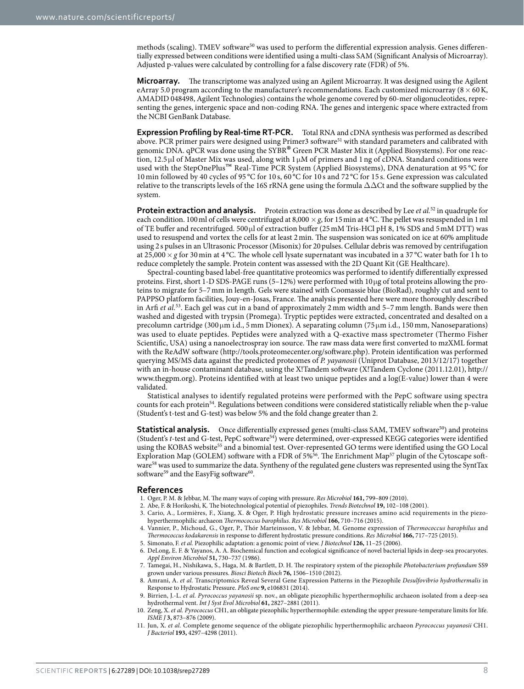methods (scaling). TMEV software<sup>[50](#page-8-38)</sup> was used to perform the differential expression analysis. Genes differentially expressed between conditions were identified using a multi-class SAM (Significant Analysis of Microarray). Adjusted p-values were calculated by controlling for a false discovery rate (FDR) of 5%.

**Microarray.** The transcriptome was analyzed using an Agilent Microarray. It was designed using the Agilent eArray 5.0 program according to the manufacturer's recommendations. Each customized microarray ( $8 \times 60$ K, AMADID 048498, Agilent Technologies) contains the whole genome covered by 60-mer oligonucleotides, representing the genes, intergenic space and non-coding RNA. The genes and intergenic space where extracted from the NCBI GenBank Database.

**Expression Profiling by Real-time RT-PCR.** Total RNA and cDNA synthesis was performed as described above. PCR primer pairs were designed using Primer3 software<sup>51</sup> with standard parameters and calibrated with genomic DNA. qPCR was done using the SYBR® Green PCR Master Mix it (Applied Biosystems). For one reaction, 12.5 μl of Master Mix was used, along with 1 μM of primers and 1 ng of cDNA. Standard conditions were used with the StepOnePlus™ Real-Time PCR System (Applied Biosystems), DNA denaturation at 95 °C for 10 min followed by 40 cycles of 95 °C for 10 s, 60 °C for 10 s and 72 °C for 15 s. Gene expression was calculated relative to the transcripts levels of the 16S rRNA gene using the formula  $\Delta\Delta$ Ct and the software supplied by the system.

**Protein extraction and analysis.** Protein extraction was done as described by Lee *et al.*<sup>52</sup> in quadruple for each condition. 100 ml of cells were centrifuged at 8,000  $\times$  *g*, for 15 min at 4 °C. The pellet was resuspended in 1 ml of TE buffer and recentrifuged. 500μl of extraction buffer (25mM Tris-HCl pH 8, 1% SDS and 5mM DTT) was used to resuspend and vortex the cells for at least 2min. The suspension was sonicated on ice at 60% amplitude using 2s pulses in an Ultrasonic Processor (Misonix) for 20pulses. Cellular debris was removed by centrifugation at 25,000  $\times$  g for 30 min at 4 °C. The whole cell lysate supernatant was incubated in a 37 °C water bath for 1 h to reduce completely the sample. Protein content was assessed with the 2D Quant Kit (GE Healthcare).

Spectral-counting based label-free quantitative proteomics was performed to identify differentially expressed proteins. First, short 1-D SDS-PAGE runs (5–12%) were performed with 10μg of total proteins allowing the proteins to migrate for 5–7mm in length. Gels were stained with Coomassie blue (BioRad), roughly cut and sent to PAPPSO platform facilities, Jouy-en-Josas, France. The analysis presented here were more thoroughly described in Arfi *et al.*[53](#page-8-41). Each gel was cut in a band of approximately 2 mm width and 5–7 mm length. Bands were then washed and digested with trypsin (Promega). Tryptic peptides were extracted, concentrated and desalted on a precolumn cartridge (300 μm i.d., 5mm Dionex). A separating column (75 μm i.d., 150mm, Nanoseparations) was used to eluate peptides. Peptides were analyzed with a Q-exactive mass spectrometer (Thermo Fisher Scientific, USA) using a nanoelectrospray ion source. The raw mass data were first converted to mzXML format with the ReAdW software [\(http://tools.proteomecenter.org/software.php](http://tools.proteomecenter.org/software.php)). Protein identification was performed querying MS/MS data against the predicted proteomes of *P. yayanosii* (Uniprot Database, 2013/12/17) together with an in-house contaminant database, using the X!Tandem software (X!Tandem Cyclone (2011.12.01), [http://](http://www.thegpm.org) [www.thegpm.org\)](http://www.thegpm.org). Proteins identified with at least two unique peptides and a log(E-value) lower than 4 were validated.

Statistical analyses to identify regulated proteins were performed with the PepC software using spectra counts for each protein[54.](#page-8-42) Regulations between conditions were considered statistically reliable when the p-value (Student's t-test and G-test) was below 5% and the fold change greater than 2.

**Statistical analysis.** Once differentially expressed genes (multi-class SAM, TMEV software<sup>50</sup>) and proteins (Student's *t*-test and G-test, PepC softwar[e54\)](#page-8-42) were determined, over-expressed KEGG categories were identified using the KOBAS website<sup>55</sup> and a binomial test. Over-represented GO terms were identified using the GO Local Exploration Map (GOLEM) software with a FDR of 5[%56](#page-8-44). The Enrichment Map[57](#page-8-45) plugin of the Cytoscape soft-ware<sup>[58](#page-9-0)</sup> was used to summarize the data. Syntheny of the regulated gene clusters was represented using the SyntTax software<sup>[59](#page-9-1)</sup> and the EasyFig software<sup>60</sup>.

#### **References**

- <span id="page-7-0"></span>1. Oger, P. M. & Jebbar, M. The many ways of coping with pressure. *Res Microbiol* **161,** 799–809 (2010).
- <span id="page-7-1"></span>2. Abe, F. & Horikoshi, K. The biotechnological potential of piezophiles. *Trends Biotechnol* **19,** 102–108 (2001).
- <span id="page-7-2"></span>3. Cario, A., Lormières, F., Xiang, X. & Oger, P. High hydrostatic pressure increases amino acid requirements in the piezohyperthermophilic archaeon *Thermococcus barophilus*. *Res Microbiol* **166,** 710–716 (2015).
- <span id="page-7-3"></span>4. Vannier, P., Michoud, G., Oger, P., Thór Marteinsson, V. & Jebbar, M. Genome expression of *Thermococcus barophilus* and *Thermococcus kodakarensis* in response to different hydrostatic pressure conditions. *Res Microbiol* **166,** 717–725 (2015).
- <span id="page-7-4"></span>5. Simonato, F. *et al.* Piezophilic adaptation: a genomic point of view. *J Biotechnol* **126,** 11–25 (2006).
- <span id="page-7-5"></span>6. DeLong, E. F. & Yayanos, A. A. Biochemical function and ecological significance of novel bacterial lipids in deep-sea procaryotes. *Appl Environ Microbiol* **51,** 730–737 (1986).
- <span id="page-7-6"></span>7. Tamegai, H., Nishikawa, S., Haga, M. & Bartlett, D. H. The respiratory system of the piezophile *Photobacterium profundum* SS9 grown under various pressures. *Biosci Biotech Bioch* **76,** 1506–1510 (2012).
- <span id="page-7-7"></span>8. Amrani, A. *et al.* Transcriptomics Reveal Several Gene Expression Patterns in the Piezophile *Desulfovibrio hydrothermalis* in Response to Hydrostatic Pressure. *PloS one* **9,** e106831 (2014).
- <span id="page-7-8"></span>9. Birrien, J.-L. *et al. Pyrococcus yayanosii* sp. nov., an obligate piezophilic hyperthermophilic archaeon isolated from a deep-sea hydrothermal vent. *Int J Syst Evol Microbiol* **61,** 2827–2881 (2011).
- <span id="page-7-9"></span>10. Zeng, X. *et al. Pyrococcus* CH1, an obligate piezophilic hyperthermophile: extending the upper pressure-temperature limits for life. *ISME J* **3,** 873–876 (2009).
- <span id="page-7-10"></span>11. Jun, X. *et al.* Complete genome sequence of the obligate piezophilic hyperthermophilic archaeon *Pyrococcus yayanosii* CH1. *J Bacteriol* **193,** 4297–4298 (2011).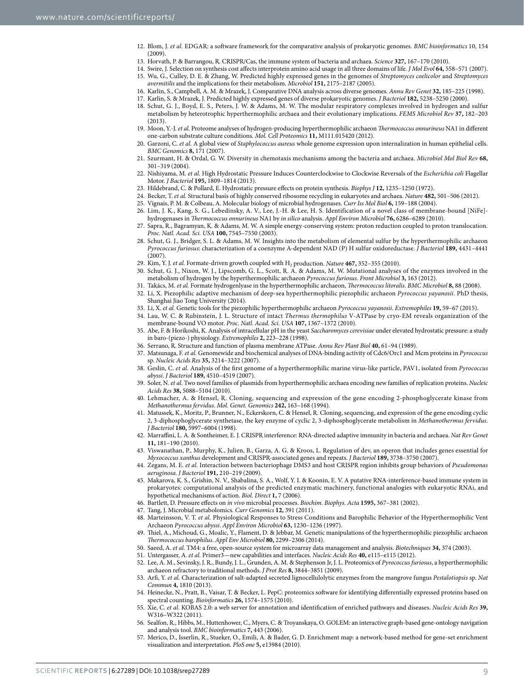- <span id="page-8-0"></span>12. Blom, J. *et al.* EDGAR: a software framework for the comparative analysis of prokaryotic genomes. *BMC bioinformatics* 10, 154  $(2009)$
- <span id="page-8-1"></span>13. Horvath, P. & Barrangou, R. CRISPR/Cas, the immune system of bacteria and archaea. *Science* **327,** 167–170 (2010).
- <span id="page-8-3"></span><span id="page-8-2"></span>14. Swire, J. Selection on synthesis cost affects interprotein amino acid usage in all three domains of life. *J Mol Evol* **64,** 558–571 (2007). 15. Wu, G., Culley, D. E. & Zhang, W. Predicted highly expressed genes in the genomes of *Streptomyces coelicolor* and *Streptomyces*
- <span id="page-8-4"></span>*avermitilis* and the implications for their metabolism. *Microbiol* **151,** 2175–2187 (2005). 16. Karlin, S., Campbell, A. M. & Mrazek, J. Comparative DNA analysis across diverse genomes. *Annu Rev Genet* **32,** 185–225 (1998).
- <span id="page-8-6"></span><span id="page-8-5"></span>17. Karlin, S. & Mrazek, J. Predicted highly expressed genes of diverse prokaryotic genomes. *J Bacteriol* **182,** 5238–5250 (2000).
- 18. Schut, G. J., Boyd, E. S., Peters, J. W. & Adams, M. W. The modular respiratory complexes involved in hydrogen and sulfur metabolism by heterotrophic hyperthermophilic archaea and their evolutionary implications. *FEMS Microbiol Rev* **37,** 182–203  $(2013)$
- <span id="page-8-7"></span>19. Moon, Y.-J. *et al.* Proteome analyses of hydrogen-producing hyperthermophilic archaeon *Thermococcus onnurineus* NA1 in different one-carbon substrate culture conditions. *Mol. Cell Proteomics* **11,** M111.015420 (2012).
- <span id="page-8-8"></span>20. Garzoni, C. *et al.* A global view of *Staphylococcus aureus* whole genome expression upon internalization in human epithelial cells. *BMC Genomics* **8,** 171 (2007).
- <span id="page-8-9"></span>21. Szurmant, H. & Ordal, G. W. Diversity in chemotaxis mechanisms among the bacteria and archaea. *Microbiol Mol Biol Rev* **68,** 301–319 (2004).
- <span id="page-8-10"></span>22. Nishiyama, M. *et al.* High Hydrostatic Pressure Induces Counterclockwise to Clockwise Reversals of the *Escherichia coli* Flagellar Motor. *J Bacteriol* **195,** 1809–1814 (2013).
- <span id="page-8-11"></span>23. Hildebrand, C. & Pollard, E. Hydrostatic pressure effects on protein synthesis. *Biophys J* **12,** 1235–1250 (1972).
- <span id="page-8-12"></span>24. Becker, T. *et al.* Structural basis of highly conserved ribosome recycling in eukaryotes and archaea. *Nature* **482,** 501–506 (2012).
- <span id="page-8-14"></span><span id="page-8-13"></span>25. Vignais, P. M. & Colbeau, A. Molecular biology of microbial hydrogenases. *Curr Iss Mol Biol* **6,** 159–188 (2004).
- 26. Lim, J. K., Kang, S. G., Lebedinsky, A. V., Lee, J.-H. & Lee, H. S. Identification of a novel class of membrane-bound [NiFe] hydrogenases in *Thermococcus onnurineus* NA1 by *in silico* analysis. *Appl Environ Microbiol* **76,** 6286–6289 (2010).
- <span id="page-8-15"></span>Sapra, R., Bagramyan, K. & Adams, M. W. A simple energy-conserving system: proton reduction coupled to proton translocation. *Proc. Natl. Acad. Sci. USA* **100,** 7545–7550 (2003).
- <span id="page-8-16"></span>28. Schut, G. J., Bridger, S. L. & Adams, M. W. Insights into the metabolism of elemental sulfur by the hyperthermophilic archaeon *Pyrococcus furiosus*: characterization of a coenzyme A-dependent NAD (P) H sulfur oxidoreductase. *J Bacteriol* **189,** 4431–4441  $(2007)$
- <span id="page-8-17"></span>29. Kim, Y. J. *et al.* Formate-driven growth coupled with H<sub>2</sub> production. *Nature* 467, 352-355 (2010).
- <span id="page-8-18"></span>30. Schut, G. J., Nixon, W. J., Lipscomb, G. L., Scott, R. A. & Adams, M. W. Mutational analyses of the enzymes involved in the metabolism of hydrogen by the hyperthermophilic archaeon *Pyrococcus furiosus*. *Front Microbiol* **3,** 163 (2012).
- <span id="page-8-19"></span>31. Takács, M. *et al.* Formate hydrogenlyase in the hyperthermophilic archaeon, *Thermococcus litoralis*. *BMC Microbiol* **8,** 88 (2008).
- <span id="page-8-20"></span>32. Li, X. Piezophilic adaptive mechanism of deep-sea hyperthermophilic piezophilic archaeon *Pyrococcus yayanosii*. PhD thesis, Shanghai Jiao Tong University (2014).
- <span id="page-8-21"></span>33. Li, X. *et al.* Genetic tools for the piezophilic hyperthermophilic archaeon *Pyrococcus yayanosii*. *Extremophiles* **19,** 59–67 (2015).
- <span id="page-8-22"></span>34. Lau, W. C. & Rubinstein, J. L. Structure of intact *Thermus thermophilus* V-ATPase by cryo-EM reveals organization of the membrane-bound VO motor. *Proc. Natl. Acad. Sci. USA* **107,** 1367–1372 (2010).
- <span id="page-8-23"></span>35. Abe, F. & Horikoshi, K. Analysis of intracellular pH in the yeast *Saccharomyces cerevisiae* under elevated hydrostatic pressure: a study in baro-(piezo-) physiology. *Extremophiles* **2,** 223–228 (1998).
- <span id="page-8-24"></span>36. Serrano, R. Structure and function of plasma membrane ATPase. *Annu Rev Plant Biol* **40,** 61–94 (1989).
- <span id="page-8-25"></span>37. Matsunaga, F. *et al.* Genomewide and biochemical analyses of DNA-binding activity of Cdc6/Orc1 and Mcm proteins in *Pyrococcus* sp. *Nucleic Acids Res* **35,** 3214–3222 (2007).
- <span id="page-8-26"></span>38. Geslin, C. *et al.* Analysis of the first genome of a hyperthermophilic marine virus-like particle, PAV1, isolated from *Pyrococcus abyssi*. *J Bacteriol* **189,** 4510–4519 (2007).
- <span id="page-8-27"></span>39. Soler, N. *et al.* Two novel families of plasmids from hyperthermophilic archaea encoding new families of replication proteins. *Nucleic Acids Res* **38,** 5088–5104 (2010).
- <span id="page-8-28"></span>40. Lehmacher, A. & Hensel, R. Cloning, sequencing and expression of the gene encoding 2-phosphoglycerate kinase from *Methanothermus fervidus*. *Mol. Genet. Genomics* **242,** 163–168 (1994).
- <span id="page-8-29"></span>41. Matussek, K., Moritz, P., Brunner, N., Eckerskorn, C. & Hensel, R. Cloning, sequencing, and expression of the gene encoding cyclic 2, 3-diphosphoglycerate synthetase, the key enzyme of cyclic 2, 3-diphosphoglycerate metabolism in *Methanothermus fervidus*. *J Bacteriol* **180,** 5997–6004 (1998).
- <span id="page-8-30"></span>42. Marraffini, L. A. & Sontheimer, E. J. CRISPR interference: RNA-directed adaptive immunity in bacteria and archaea. *Nat Rev Genet* **11,** 181–190 (2010).
- <span id="page-8-31"></span>43. Viswanathan, P., Murphy, K., Julien, B., Garza, A. G. & Kroos, L. Regulation of dev, an operon that includes genes essential for *Myxococcus xanthus* development and CRISPR-associated genes and repeats. *J Bacteriol* **189,** 3738–3750 (2007).
- <span id="page-8-32"></span>44. Zegans, M. E. *et al.* Interaction between bacteriophage DMS3 and host CRISPR region inhibits group behaviors of *Pseudomonas aeruginosa*. *J Bacteriol* **191,** 210–219 (2009).
- <span id="page-8-33"></span>45. Makarova, K. S., Grishin, N. V., Shabalina, S. A., Wolf, Y. I. & Koonin, E. V. A putative RNA-interference-based immune system in prokaryotes: computational analysis of the predicted enzymatic machinery, functional analogies with eukaryotic RNAi, and hypothetical mechanisms of action. *Biol. Direct* **1,** 7 (2006).
- <span id="page-8-34"></span>46. Bartlett, D. Pressure effects on *in vivo* microbial processes. *Biochim. Biophys. Acta* **1595,** 367–381 (2002).
- <span id="page-8-35"></span>47. Tang, J. Microbial metabolomics. *Curr Genomics* **12,** 391 (2011).
- <span id="page-8-36"></span>48. Marteinsson, V. T. *et al.* Physiological Responses to Stress Conditions and Barophilic Behavior of the Hyperthermophilic Vent Archaeon *Pyrococcus abyssi*. *Appl Environ Microbiol* **63,** 1230–1236 (1997).
- <span id="page-8-37"></span>49. Thiel, A., Michoud, G., Moalic, Y., Flament, D. & Jebbar, M. Genetic manipulations of the hyperthermophilic piezophilic archaeon *Thermococcus barophilus*. *Appl Env Microbiol* **80,** 2299–2306 (2014).
- <span id="page-8-38"></span>50. Saeed, A. *et al.* TM4: a free, open-source system for microarray data management and analysis. *Biotechniques* **34,** 374 (2003).
- <span id="page-8-40"></span><span id="page-8-39"></span>51. Untergasser, A. *et al.* Primer3—new capabilities and interfaces. *Nucleic Acids Res* **40,** e115–e115 (2012).
- 52. Lee, A. M., Sevinsky, J. R., Bundy, J. L., Grunden, A. M. & Stephenson Jr, J. L. Proteomics of *Pyrococcus furiosus*, a hyperthermophilic archaeon refractory to traditional methods. *J Prot Res* **8,** 3844–3851 (2009).
- <span id="page-8-41"></span>53. Arfi, Y. *et al.* Characterization of salt-adapted secreted lignocellulolytic enzymes from the mangrove fungus *Pestalotiopsis* sp. *Nat Commun* **4,** 1810 (2013).
- <span id="page-8-42"></span>54. Heinecke, N., Pratt, B., Vaisar, T. & Becker, L. PepC: proteomics software for identifying differentially expressed proteins based on spectral counting. *Bioinformatics* **26,** 1574–1575 (2010).
- <span id="page-8-43"></span>55. Xie, C. *et al.* KOBAS 2.0: a web server for annotation and identification of enriched pathways and diseases. *Nucleic Acids Res* **39,** W316–W322 (2011).
- <span id="page-8-44"></span>56. Sealfon, R., Hibbs, M., Huttenhower, C., Myers, C. & Troyanskaya, O. GOLEM: an interactive graph-based gene-ontology navigation and analysis tool. *BMC bioinformatics* **7,** 443 (2006).
- <span id="page-8-45"></span>57. Merico, D., Isserlin, R., Stueker, O., Emili, A. & Bader, G. D. Enrichment map: a network-based method for gene-set enrichment visualization and interpretation. *PloS one* **5,** e13984 (2010).